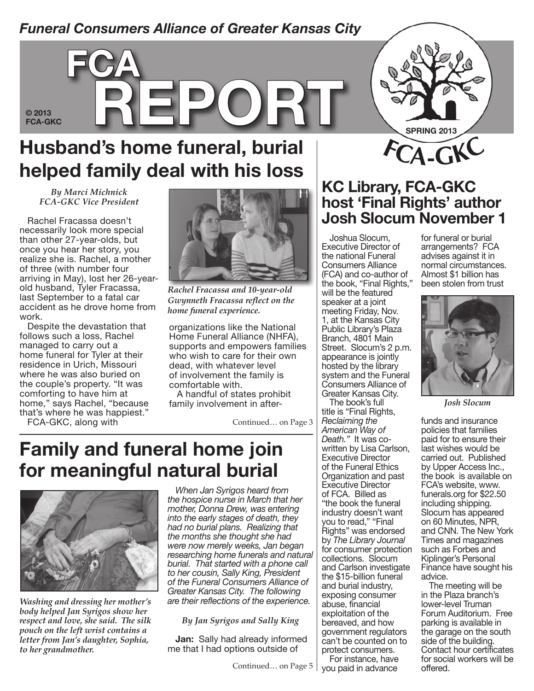### *Funeral Consumers Alliance of Greater Kansas City*

### **© 2013**

**FCA-GKC REPORT** 

# **Husband's home funeral, burial helped family deal with his loss**

*By Marci Michnick FCA-GKC Vice President*

**fca**

Rachel Fracassa doesn't necessarily look more special than other 27-year-olds, but once you hear her story, you realize she is. Rachel, a mother of three (with number four arriving in May), lost her 26-yearold husband, Tyler Fracassa, last September to a fatal car accident as he drove home from work.

Despite the devastation that follows such a loss, Rachel managed to carry out a home funeral for Tyler at their residence in Urich, Missouri where he was also buried on the couple's property. "It was comforting to have him at home," says Rachel, "because that's where he was happiest."

FCA-GKC, along with



*Rachel Fracassa and 10-year-old Gwynneth Fracassa reflect on the home funeral experience.*

organizations like the National Home Funeral Alliance (NHFA), supports and empowers families who wish to care for their own dead, with whatever level of involvement the family is comfortable with.

A handful of states prohibit family involvement in after-

Continued… on Page 3

## **Family and funeral home join for meaningful natural burial**



*Washing and dressing her mother's body helped Jan Syrigos show her respect and love, she said. The silk pouch on the left wrist contains a letter from Jan's daughter, Sophia, to her grandmother.*

*When Jan Syrigos heard from the hospice nurse in March that her mother, Donna Drew, was entering into the early stages of death, they had no burial plans. Realizing that the months she thought she had were now merely weeks, Jan began researching home funerals and natural burial. That started with a phone call to her cousin, Sally King, President of the Funeral Consumers Alliance of Greater Kansas City. The following are their reflections of the experience.*

*By Jan Syrigos and Sally King*

**Jan:** Sally had already informed me that I had options outside of

### **KC Library, FCA-GKC host 'Final Rights' author Josh Slocum November 1**

**<sup>F</sup>CA-GKC**

**Spring 2013**

Joshua Slocum, Executive Director of the national Funeral Consumers Alliance (FCA) and co-author of the book, "Final Rights," will be the featured speaker at a joint meeting Friday, Nov. 1, at the Kansas City Public Library's Plaza Branch, 4801 Main Street. Slocum's 2 p.m. appearance is jointly hosted by the library system and the Funeral Consumers Alliance of Greater Kansas City.

The book's full title is "Final Rights, *Reclaiming the American Way of Death."* It was cowritten by Lisa Carlson, Executive Director of the Funeral Ethics Organization and past Executive Director of FCA. Billed as "the book the funeral industry doesn't want you to read," "Final Rights" was endorsed by *The Library Journal*  for consumer protection collections. Slocum and Carlson investigate the \$15-billion funeral and burial industry, exposing consumer abuse, financial exploitation of the bereaved, and how government regulators can't be counted on to protect consumers.

For instance, have you paid in advance

for funeral or burial arrangements? FCA advises against it in normal circumstances. Almost \$1 billion has been stolen from trust



*Josh Slocum*

funds and insurance policies that families paid for to ensure their last wishes would be carried out. Published by Upper Access Inc., the book is available on FCA's website, www. funerals.org for \$22.50 including shipping. Slocum has appeared on 60 Minutes, NPR, and CNN. The New York Times and magazines such as Forbes and Kiplinger's Personal Finance have sought his advice.

The meeting will be in the Plaza branch's lower-level Truman Forum Auditorium. Free parking is available in the garage on the south side of the building. Contact hour certificates for social workers will be offered.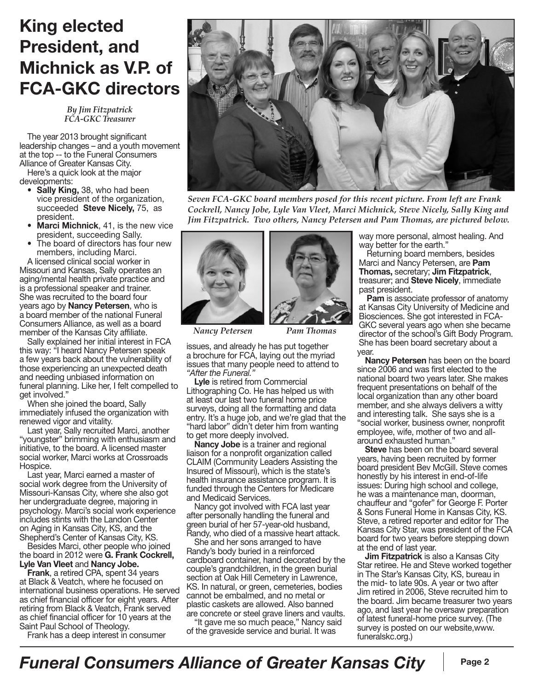## **King elected President, and Michnick as V.P. of FCA-GKC directors**

*By Jim Fitzpatrick FCA-GKC Treasurer*

The year 2013 brought significant leadership changes – and a youth movement at the top -- to the Funeral Consumers Alliance of Greater Kansas City.

Here's a quick look at the major developments:

- • **Sally King,** 38, who had been vice president of the organization, succeeded **Steve Nicely,** 75, as president.
- **Marci Michnick**, 41, is the new vice president, succeeding Sally.
- The board of directors has four new members, including Marci.

A licensed clinical social worker in Missouri and Kansas, Sally operates an aging/mental health private practice and is a professional speaker and trainer. She was recruited to the board four years ago by **Nancy Petersen**, who is a board member of the national Funeral Consumers Alliance, as well as a board member of the Kansas City affiliate.

Sally explained her initial interest in FCA this way: "I heard Nancy Petersen speak a few years back about the vulnerability of those experiencing an unexpected death and needing unbiased information on funeral planning. Like her, I felt compelled to get involved."

When she joined the board, Sally immediately infused the organization with renewed vigor and vitality.

Last year, Sally recruited Marci, another "youngster" brimming with enthusiasm and initiative, to the board. A licensed master social worker, Marci works at Crossroads Hospice.

Last year, Marci earned a master of social work degree from the University of Missouri-Kansas City, where she also got her undergraduate degree, majoring in psychology. Marci's social work experience includes stints with the Landon Center on Aging in Kansas City, KS, and the Shepherd's Center of Kansas City, KS.

Besides Marci, other people who joined the board in 2012 were **G. Frank Cockrell, Lyle Van Vleet** and **Nancy Jobe.**

**Frank**, a retired CPA, spent 34 years at Black & Veatch, where he focused on international business operations. He served as chief financial officer for eight years. After retiring from Black & Veatch, Frank served as chief financial officer for 10 years at the Saint Paul School of Theology.

Frank has a deep interest in consumer



*Seven FCA-GKC board members posed for this recent picture. From left are Frank Cockrell, Nancy Jobe, Lyle Van Vleet, Marci Michnick, Steve Nicely, Sally King and Jim Fitzpatrick. Two others, Nancy Petersen and Pam Thomas, are pictured below.*



issues, and already he has put together *Nancy Petersen Pam Thomas*

a brochure for FCA, laying out the myriad issues that many people need to attend to *"After the Funeral."*

**Lyle** is retired from Commercial Lithographing Co. He has helped us with at least our last two funeral home price surveys, doing all the formatting and data entry. It's a huge job, and we're glad that the "hard labor" didn't deter him from wanting to get more deeply involved.

**Nancy Jobe** is a trainer and regional liaison for a nonprofit organization called CLAIM (Community Leaders Assisting the Insured of Missouri), which is the state's health insurance assistance program. It is funded through the Centers for Medicare and Medicaid Services.

Nancy got involved with FCA last year after personally handling the funeral and green burial of her 57-year-old husband, Randy, who died of a massive heart attack.

She and her sons arranged to have Randy's body buried in a reinforced cardboard container, hand decorated by the couple's grandchildren, in the green burial section at Oak Hill Cemetery in Lawrence, KS. In natural, or green, cemeteries, bodies cannot be embalmed, and no metal or plastic caskets are allowed. Also banned are concrete or steel grave liners and vaults.

"It gave me so much peace," Nancy said of the graveside service and burial. It was

way more personal, almost healing. And way better for the earth."

Returning board members, besides Marci and Nancy Petersen, are **Pam Thomas,** secretary; **Jim Fitzpatrick**, treasurer; and **Steve Nicely**, immediate past president.

**Pam** is associate professor of anatomy at Kansas City University of Medicine and Biosciences. She got interested in FCA-GKC several years ago when she became director of the school's Gift Body Program. She has been board secretary about a year.

**Nancy Petersen** has been on the board since 2006 and was first elected to the national board two years later. She makes frequent presentations on behalf of the local organization than any other board member, and she always delivers a witty and interesting talk. She says she is a "social worker, business owner, nonprofit employee, wife, mother of two and allaround exhausted human."

**Steve** has been on the board several years, having been recruited by former board president Bev McGill. Steve comes honestly by his interest in end-of-life issues: During high school and college, he was a maintenance man, doorman, chauffeur and "gofer" for George F. Porter & Sons Funeral Home in Kansas City, KS. Steve, a retired reporter and editor for The Kansas City Star, was president of the FCA board for two years before stepping down at the end of last year.

**Jim Fitzpatrick** is also a Kansas City Star retiree. He and Steve worked together in The Star's Kansas City, KS, bureau in the mid- to late 90s. A year or two after Jim retired in 2006, Steve recruited him to the board. Jim became treasurer two years ago, and last year he oversaw preparation of latest funeral-home price survey. (The survey is posted on our website, www. funeralskc.org.)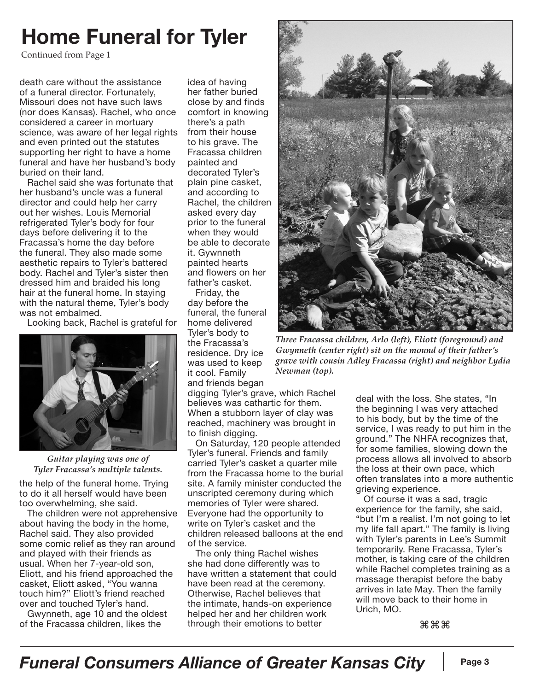# **Home Funeral for Tyler**

Continued from Page 1

death care without the assistance of a funeral director. Fortunately, Missouri does not have such laws (nor does Kansas). Rachel, who once considered a career in mortuary science, was aware of her legal rights and even printed out the statutes supporting her right to have a home funeral and have her husband's body buried on their land.

Rachel said she was fortunate that her husband's uncle was a funeral director and could help her carry out her wishes. Louis Memorial refrigerated Tyler's body for four days before delivering it to the Fracassa's home the day before the funeral. They also made some aesthetic repairs to Tyler's battered body. Rachel and Tyler's sister then dressed him and braided his long hair at the funeral home. In staying with the natural theme, Tyler's body was not embalmed.

Looking back, Rachel is grateful for



*Guitar playing was one of Tyler Fracassa's multiple talents.*

the help of the funeral home. Trying to do it all herself would have been too overwhelming, she said.

The children were not apprehensive about having the body in the home, Rachel said. They also provided some comic relief as they ran around and played with their friends as usual. When her 7-year-old son, Eliott, and his friend approached the casket, Eliott asked, "You wanna touch him?" Eliott's friend reached over and touched Tyler's hand.

Gwynneth, age 10 and the oldest of the Fracassa children, likes the

idea of having her father buried close by and finds comfort in knowing there's a path from their house to his grave. The Fracassa children painted and decorated Tyler's plain pine casket, and according to Rachel, the children asked every day prior to the funeral when they would be able to decorate it. Gywnneth painted hearts and flowers on her father's casket.

Friday, the day before the funeral, the funeral home delivered Tyler's body to the Fracassa's residence. Dry ice was used to keep it cool. Family and friends began

digging Tyler's grave, which Rachel believes was cathartic for them. When a stubborn layer of clay was reached, machinery was brought in to finish digging.

On Saturday, 120 people attended Tyler's funeral. Friends and family carried Tyler's casket a quarter mile from the Fracassa home to the burial site. A family minister conducted the unscripted ceremony during which memories of Tyler were shared. Everyone had the opportunity to write on Tyler's casket and the children released balloons at the end of the service.

The only thing Rachel wishes she had done differently was to have written a statement that could have been read at the ceremony. Otherwise, Rachel believes that the intimate, hands-on experience helped her and her children work through their emotions to better



*Three Fracassa children, Arlo (left), Eliott (foreground) and Gwynneth (center right) sit on the mound of their father's grave with cousin Adley Fracassa (right) and neighbor Lydia Newman (top).*

deal with the loss. She states, "In the beginning I was very attached to his body, but by the time of the service, I was ready to put him in the ground." The NHFA recognizes that, for some families, slowing down the process allows all involved to absorb the loss at their own pace, which often translates into a more authentic grieving experience.

Of course it was a sad, tragic experience for the family, she said, "but I'm a realist. I'm not going to let my life fall apart." The family is living with Tyler's parents in Lee's Summit temporarily. Rene Fracassa, Tyler's mother, is taking care of the children while Rachel completes training as a massage therapist before the baby arrives in late May. Then the family will move back to their home in Urich, MO.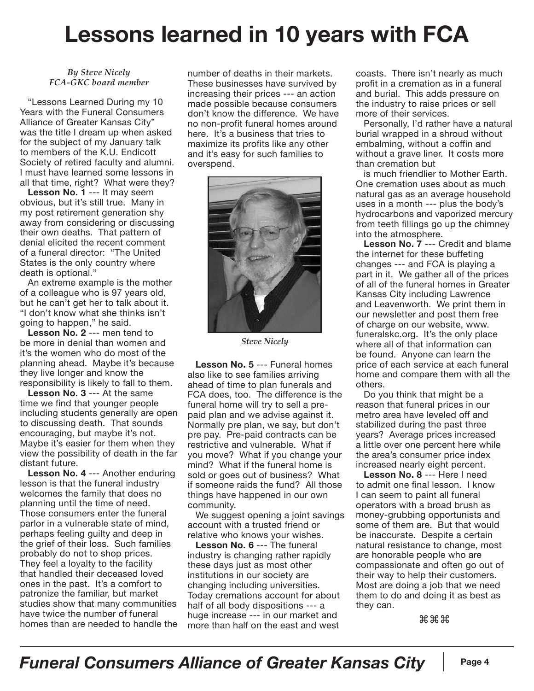# **Lessons learned in 10 years with FCA**

#### *By Steve Nicely FCA-GKC board member*

"Lessons Learned During my 10 Years with the Funeral Consumers Alliance of Greater Kansas City" was the title I dream up when asked for the subject of my January talk to members of the K.U. Endicott Society of retired faculty and alumni. I must have learned some lessons in all that time, right? What were they?

**Lesson No. 1** --- It may seem obvious, but it's still true. Many in my post retirement generation shy away from considering or discussing their own deaths. That pattern of denial elicited the recent comment of a funeral director: "The United States is the only country where death is optional."

An extreme example is the mother of a colleague who is 97 years old, but he can't get her to talk about it. "I don't know what she thinks isn't going to happen," he said.

**Lesson No. 2** --- men tend to be more in denial than women and it's the women who do most of the planning ahead. Maybe it's because they live longer and know the responsibility is likely to fall to them.

**Lesson No. 3** --- At the same time we find that younger people including students generally are open to discussing death. That sounds encouraging, but maybe it's not. Maybe it's easier for them when they view the possibility of death in the far distant future.

**Lesson No. 4** --- Another enduring lesson is that the funeral industry welcomes the family that does no planning until the time of need. Those consumers enter the funeral parlor in a vulnerable state of mind, perhaps feeling guilty and deep in the grief of their loss. Such families probably do not to shop prices. They feel a loyalty to the facility that handled their deceased loved ones in the past. It's a comfort to patronize the familiar, but market studies show that many communities have twice the number of funeral homes than are needed to handle the

number of deaths in their markets. These businesses have survived by increasing their prices --- an action made possible because consumers don't know the difference. We have no non-profit funeral homes around here. It's a business that tries to maximize its profits like any other and it's easy for such families to overspend.



*Steve Nicely*

**Lesson No. 5** --- Funeral homes also like to see families arriving ahead of time to plan funerals and FCA does, too. The difference is the funeral home will try to sell a prepaid plan and we advise against it. Normally pre plan, we say, but don't pre pay. Pre-paid contracts can be restrictive and vulnerable. What if you move? What if you change your mind? What if the funeral home is sold or goes out of business? What if someone raids the fund? All those things have happened in our own community.

We suggest opening a joint savings account with a trusted friend or relative who knows your wishes.

**Lesson No. 6** --- The funeral industry is changing rather rapidly these days just as most other institutions in our society are changing including universities. Today cremations account for about half of all body dispositions --- a huge increase --- in our market and more than half on the east and west

coasts. There isn't nearly as much profit in a cremation as in a funeral and burial. This adds pressure on the industry to raise prices or sell more of their services.

Personally, I'd rather have a natural burial wrapped in a shroud without embalming, without a coffin and without a grave liner. It costs more than cremation but

is much friendlier to Mother Earth. One cremation uses about as much natural gas as an average household uses in a month --- plus the body's hydrocarbons and vaporized mercury from teeth fillings go up the chimney into the atmosphere.

**Lesson No. 7** --- Credit and blame the internet for these buffeting changes --- and FCA is playing a part in it. We gather all of the prices of all of the funeral homes in Greater Kansas City including Lawrence and Leavenworth. We print them in our newsletter and post them free of charge on our website, www. funeralskc.org. It's the only place where all of that information can be found. Anyone can learn the price of each service at each funeral home and compare them with all the others.

Do you think that might be a reason that funeral prices in our metro area have leveled off and stabilized during the past three years? Average prices increased a little over one percent here while the area's consumer price index increased nearly eight percent.

**Lesson No. 8** --- Here I need to admit one final lesson. I know I can seem to paint all funeral operators with a broad brush as money-grubbing opportunists and some of them are. But that would be inaccurate. Despite a certain natural resistance to change, most are honorable people who are compassionate and often go out of their way to help their customers. Most are doing a job that we need them to do and doing it as best as they can.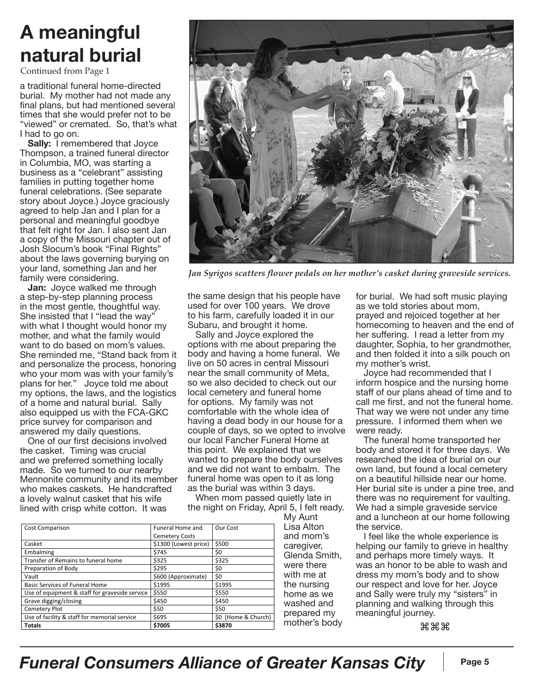# **A meaningful natural burial**

Continued from Page 1

a traditional funeral home-directed burial. My mother had not made any final plans, but had mentioned several times that she would prefer not to be "viewed" or cremated. So, that's what I had to go on.

**Sally:** I remembered that Joyce Thompson, a trained funeral director in Columbia, MO, was starting a business as a "celebrant" assisting families in putting together home funeral celebrations. (See separate story about Joyce.) Joyce graciously agreed to help Jan and I plan for a personal and meaningful goodbye that felt right for Jan. I also sent Jan a copy of the Missouri chapter out of Josh Slocum's book "Final Rights" about the laws governing burying on your land, something Jan and her family were considering.

**Jan:** Joyce walked me through a step-by-step planning process in the most gentle, thoughtful way. She insisted that I "lead the way" with what I thought would honor my mother, and what the family would want to do based on mom's values. She reminded me, "Stand back from it and personalize the process, honoring who your mom was with your family's plans for her." Joyce told me about my options, the laws, and the logistics of a home and natural burial. Sally also equipped us with the FCA-GKC price survey for comparison and answered my daily questions.

One of our first decisions involved the casket. Timing was crucial and we preferred something locally made. So we turned to our nearby Mennonite community and its member who makes caskets. He handcrafted a lovely walnut casket that his wife lined with crisp white cotton. It was



*Jan Syrigos scatters flower pedals on her mother's casket during graveside services.*

the same design that his people have used for over 100 years. We drove to his farm, carefully loaded it in our Subaru, and brought it home.

Sally and Joyce explored the options with me about preparing the body and having a home funeral. We live on 50 acres in central Missouri near the small community of Meta, so we also decided to check out our local cemetery and funeral home for options. My family was not comfortable with the whole idea of having a dead body in our house for a couple of days, so we opted to involve our local Fancher Funeral Home at this point. We explained that we wanted to prepare the body ourselves and we did not want to embalm. The funeral home was open to it as long as the burial was within 3 days.

When mom passed quietly late in the night on Friday, April 5, I felt ready.

| <b>Cost Comparison</b>                         | <b>Funeral Home and</b> | Our Cost            |
|------------------------------------------------|-------------------------|---------------------|
|                                                | <b>Cemetery Costs</b>   |                     |
| Casket                                         | \$1300 (Lowest price)   | \$500               |
| Embalming                                      | \$745                   | \$0                 |
| Transfer of Remains to funeral home            | \$325                   | \$325               |
| Preparation of Body                            | \$295                   | \$0                 |
| Vault                                          | \$600 (Approximate)     | \$0                 |
| Basic Services of Funeral Home                 | \$1995                  | \$1995              |
| Use of equipment & staff for graveside service | \$550                   | \$550               |
| Grave digging/closing                          | \$450                   | \$450               |
| Cemetery Plot                                  | \$50                    | \$50                |
| Use of facility & staff for memorial service   | \$695                   | \$0 (Home & Church) |
| <b>Totals</b>                                  | \$7005                  | \$3870              |

My Aunt Lisa Alton and mom's caregiver, Glenda Smith, were there with me at the nursing home as we washed and prepared my mother's body for burial. We had soft music playing as we told stories about mom, prayed and rejoiced together at her homecoming to heaven and the end of her suffering. I read a letter from my daughter, Sophia, to her grandmother, and then folded it into a silk pouch on my mother's wrist.

Joyce had recommended that I inform hospice and the nursing home staff of our plans ahead of time and to call me first, and not the funeral home. That way we were not under any time pressure. I informed them when we were ready.

The funeral home transported her body and stored it for three days. We researched the idea of burial on our own land, but found a local cemetery on a beautiful hillside near our home. Her burial site is under a pine tree, and there was no requirement for vaulting. We had a simple graveside service and a luncheon at our home following the service.

I feel like the whole experience is helping our family to grieve in healthy and perhaps more timely ways. It was an honor to be able to wash and dress my mom's body and to show our respect and love for her. Joyce and Sally were truly my "sisters" in planning and walking through this meaningful journey.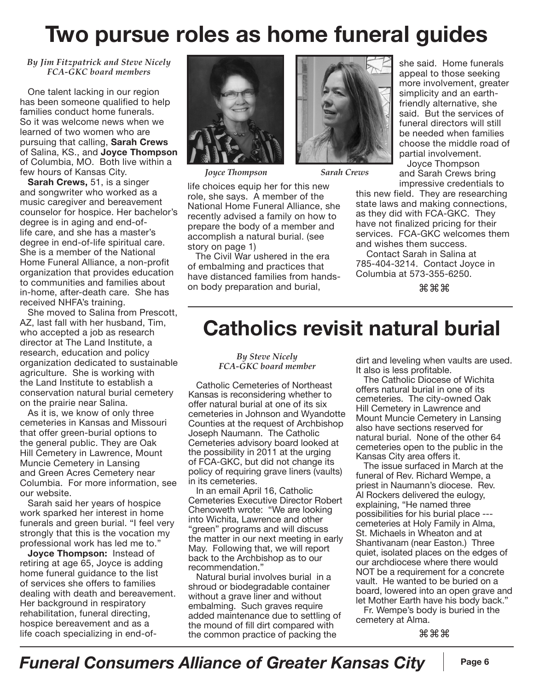# **Two pursue roles as home funeral guides**

#### *By Jim Fitzpatrick and Steve Nicely FCA-GKC board members*

One talent lacking in our region has been someone qualified to help families conduct home funerals. So it was welcome news when we learned of two women who are pursuing that calling, **Sarah Crews** of Salina, KS., and **Joyce Thompson** of Columbia, MO. Both live within a few hours of Kansas City.

**Sarah Crews,** 51, is a singer and songwriter who worked as a music caregiver and bereavement counselor for hospice. Her bachelor's degree is in aging and end-oflife care, and she has a master's degree in end-of-life spiritual care. She is a member of the National Home Funeral Alliance, a non-profit organization that provides education to communities and families about in-home, after-death care. She has received NHFA's training.

She moved to Salina from Prescott, AZ, last fall with her husband, Tim, who accepted a job as research director at The Land Institute, a research, education and policy organization dedicated to sustainable agriculture. She is working with the Land Institute to establish a conservation natural burial cemetery on the prairie near Salina.

As it is, we know of only three cemeteries in Kansas and Missouri that offer green-burial options to the general public. They are Oak Hill Cemetery in Lawrence, Mount Muncie Cemetery in Lansing and Green Acres Cemetery near Columbia. For more information, see our website.

Sarah said her years of hospice work sparked her interest in home funerals and green burial. "I feel very strongly that this is the vocation my professional work has led me to."

**Joyce Thompson:** Instead of retiring at age 65, Joyce is adding home funeral guidance to the list of services she offers to families dealing with death and bereavement. Her background in respiratory rehabilitation, funeral directing, hospice bereavement and as a life coach specializing in end-of-



*Joyce Thompson Sarah Crews*



life choices equip her for this new role, she says. A member of the National Home Funeral Alliance, she recently advised a family on how to prepare the body of a member and accomplish a natural burial. (see story on page 1)

The Civil War ushered in the era of embalming and practices that have distanced families from handson body preparation and burial,

she said. Home funerals appeal to those seeking more involvement, greater simplicity and an earthfriendly alternative, she said. But the services of funeral directors will still be needed when families choose the middle road of partial involvement.

Joyce Thompson and Sarah Crews bring impressive credentials to

this new field. They are researching state laws and making connections, as they did with FCA-GKC. They have not finalized pricing for their services. FCA-GKC welcomes them and wishes them success.

 Contact Sarah in Salina at 785-404-3214. Contact Joyce in Columbia at 573-355-6250.

⌘⌘⌘

# **Catholics revisit natural burial**

*By Steve Nicely FCA-GKC board member*

Catholic Cemeteries of Northeast Kansas is reconsidering whether to offer natural burial at one of its six cemeteries in Johnson and Wyandotte Counties at the request of Archbishop Joseph Naumann. The Catholic Cemeteries advisory board looked at the possibility in 2011 at the urging of FCA-GKC, but did not change its policy of requiring grave liners (vaults) in its cemeteries.

In an email April 16, Catholic Cemeteries Executive Director Robert Chenoweth wrote: "We are looking into Wichita, Lawrence and other "green" programs and will discuss the matter in our next meeting in early May. Following that, we will report back to the Archbishop as to our recommendation."

Natural burial involves burial in a shroud or biodegradable container without a grave liner and without embalming. Such graves require added maintenance due to settling of the mound of fill dirt compared with the common practice of packing the

dirt and leveling when vaults are used. It also is less profitable.

The Catholic Diocese of Wichita offers natural burial in one of its cemeteries. The city-owned Oak Hill Cemetery in Lawrence and Mount Muncie Cemetery in Lansing also have sections reserved for natural burial. None of the other 64 cemeteries open to the public in the Kansas City area offers it.

The issue surfaced in March at the funeral of Rev. Richard Wempe, a priest in Naumann's diocese. Rev. Al Rockers delivered the eulogy, explaining, "He named three possibilities for his burial place -- cemeteries at Holy Family in Alma, St. Michaels in Wheaton and at Shantivanam (near Easton.) Three quiet, isolated places on the edges of our archdiocese where there would NOT be a requirement for a concrete vault. He wanted to be buried on a board, lowered into an open grave and let Mother Earth have his body back."

Fr. Wempe's body is buried in the cemetery at Alma.

⌘⌘⌘

## *Funeral Consumers Alliance of Greater Kansas City* | Page 6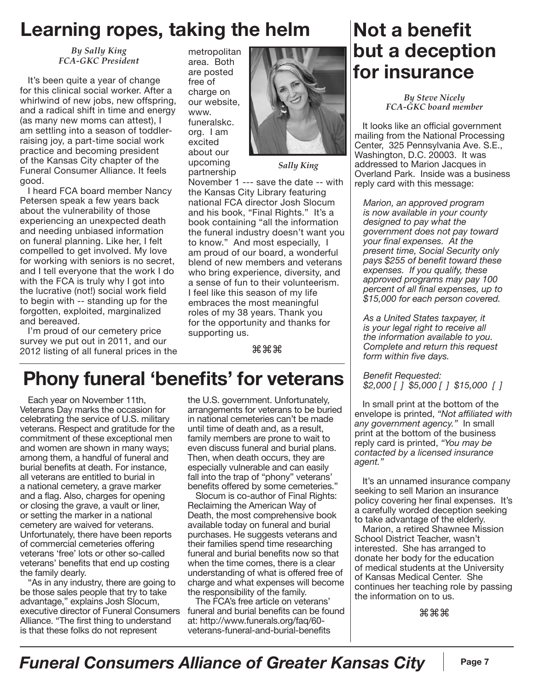## **Learning ropes, taking the helm**

*By Sally King FCA-GKC President*

It's been quite a year of change for this clinical social worker. After a whirlwind of new jobs, new offspring, and a radical shift in time and energy (as many new moms can attest), I am settling into a season of toddlerraising joy, a part-time social work practice and becoming president of the Kansas City chapter of the Funeral Consumer Alliance. It feels good.

I heard FCA board member Nancy Petersen speak a few years back about the vulnerability of those experiencing an unexpected death and needing unbiased information on funeral planning. Like her, I felt compelled to get involved. My love for working with seniors is no secret, and I tell everyone that the work I do with the FCA is truly why I got into the lucrative (not!) social work field to begin with -- standing up for the forgotten, exploited, marginalized and bereaved.

I'm proud of our cemetery price survey we put out in 2011, and our 2012 listing of all funeral prices in the metropolitan area. Both are posted free of charge on our website, www. funeralskc. org. I am excited about our upcoming partnership



*Sally King*

November 1 --- save the date -- with the Kansas City Library featuring national FCA director Josh Slocum and his book, "Final Rights." It's a book containing "all the information the funeral industry doesn't want you to know." And most especially, I am proud of our board, a wonderful blend of new members and veterans who bring experience, diversity, and a sense of fun to their volunteerism. I feel like this season of my life embraces the most meaningful roles of my 38 years. Thank you for the opportunity and thanks for supporting us.

⌘⌘⌘

# **Phony funeral 'benefits' for veterans**

Each year on November 11th, Veterans Day marks the occasion for celebrating the service of U.S. military veterans. Respect and gratitude for the commitment of these exceptional men and women are shown in many ways; among them, a handful of funeral and burial benefits at death. For instance, all veterans are entitled to burial in a national cemetery, a grave marker and a flag. Also, charges for opening or closing the grave, a vault or liner, or setting the marker in a national cemetery are waived for veterans. Unfortunately, there have been reports of commercial cemeteries offering veterans 'free' lots or other so-called veterans' benefits that end up costing the family dearly.

"As in any industry, there are going to be those sales people that try to take advantage," explains Josh Slocum, executive director of Funeral Consumers Alliance. "The first thing to understand is that these folks do not represent

the U.S. government. Unfortunately, arrangements for veterans to be buried in national cemeteries can't be made until time of death and, as a result, family members are prone to wait to even discuss funeral and burial plans. Then, when death occurs, they are especially vulnerable and can easily fall into the trap of "phony" veterans' benefits offered by some cemeteries."

Slocum is co-author of Final Rights: Reclaiming the American Way of Death, the most comprehensive book available today on funeral and burial purchases. He suggests veterans and their families spend time researching funeral and burial benefits now so that when the time comes, there is a clear understanding of what is offered free of charge and what expenses will become the responsibility of the family.

The FCA's free article on veterans' funeral and burial benefits can be found at: http://www.funerals.org/faq/60 veterans-funeral-and-burial-benefits

## **Not a benefit but a deception for insurance**

*By Steve Nicely FCA-GKC board member*

It looks like an official government mailing from the National Processing Center, 325 Pennsylvania Ave. S.E., Washington, D.C. 20003. It was addressed to Marion Jacques in Overland Park. Inside was a business reply card with this message:

*Marion, an approved program is now available in your county designed to pay what the government does not pay toward your final expenses. At the present time, Social Security only pays \$255 of benefit toward these expenses. If you qualify, these approved programs may pay 100 percent of all final expenses, up to \$15,000 for each person covered.*

*As a United States taxpayer, it is your legal right to receive all the information available to you. Complete and return this request form within five days.* 

*Benefit Requested: \$2,000 [ ] \$5,000 [ ] \$15,000 [ ]*

In small print at the bottom of the envelope is printed, *"Not affiliated with any government agency."* In small print at the bottom of the business reply card is printed, *"You may be contacted by a licensed insurance agent."* 

It's an unnamed insurance company seeking to sell Marion an insurance policy covering her final expenses. It's a carefully worded deception seeking to take advantage of the elderly.

Marion, a retired Shawnee Mission School District Teacher, wasn't interested. She has arranged to donate her body for the education of medical students at the University of Kansas Medical Center. She continues her teaching role by passing the information on to us.